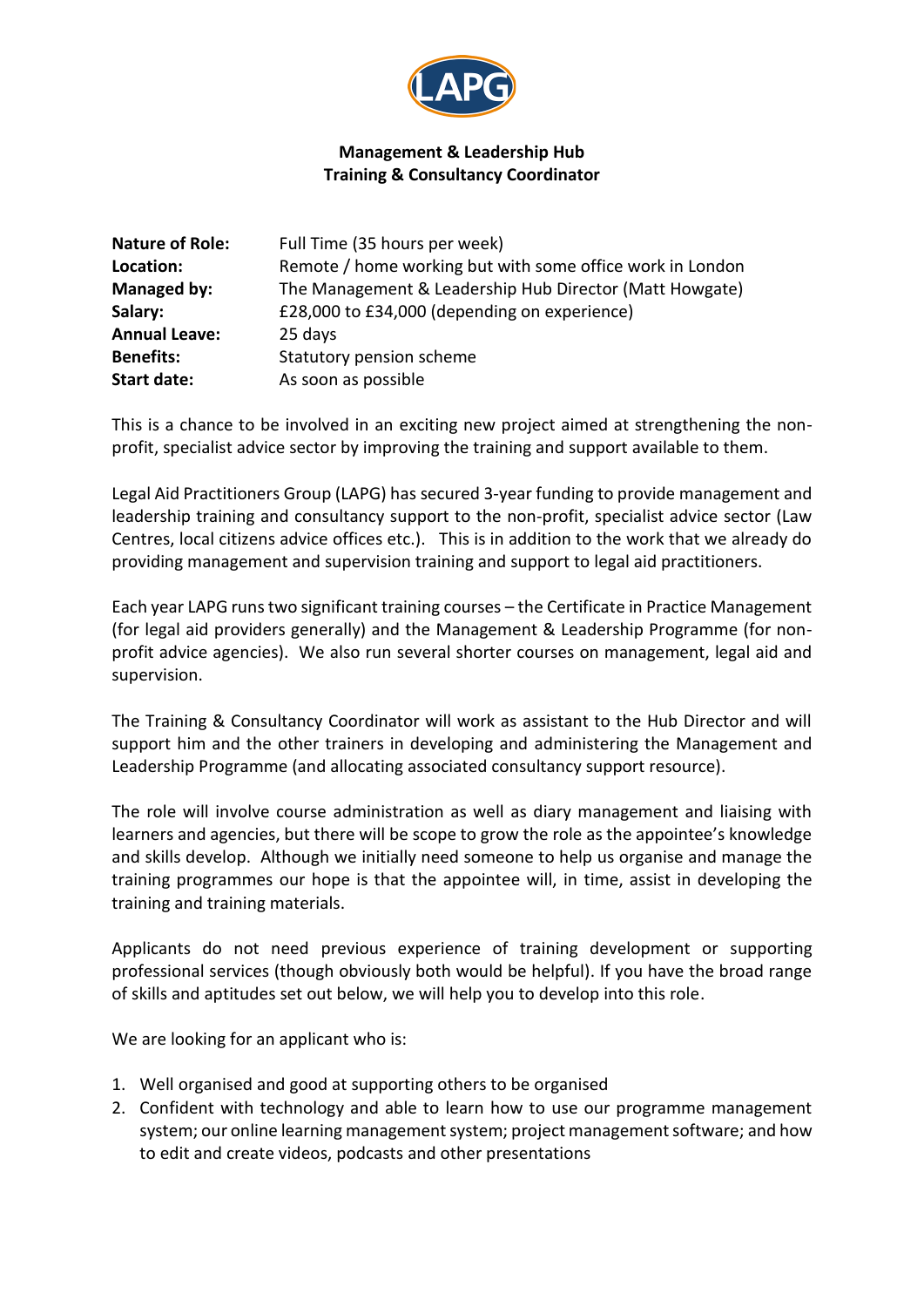

## **Management & Leadership Hub Training & Consultancy Coordinator**

| <b>Nature of Role:</b> | Full Time (35 hours per week)                             |
|------------------------|-----------------------------------------------------------|
| Location:              | Remote / home working but with some office work in London |
| Managed by:            | The Management & Leadership Hub Director (Matt Howgate)   |
| Salary:                | £28,000 to £34,000 (depending on experience)              |
| <b>Annual Leave:</b>   | 25 days                                                   |
| <b>Benefits:</b>       | Statutory pension scheme                                  |
| <b>Start date:</b>     | As soon as possible                                       |

This is a chance to be involved in an exciting new project aimed at strengthening the nonprofit, specialist advice sector by improving the training and support available to them.

Legal Aid Practitioners Group (LAPG) has secured 3-year funding to provide management and leadership training and consultancy support to the non-profit, specialist advice sector (Law Centres, local citizens advice offices etc.). This is in addition to the work that we already do providing management and supervision training and support to legal aid practitioners.

Each year LAPG runstwo significant training courses – the Certificate in Practice Management (for legal aid providers generally) and the Management & Leadership Programme (for nonprofit advice agencies). We also run several shorter courses on management, legal aid and supervision.

The Training & Consultancy Coordinator will work as assistant to the Hub Director and will support him and the other trainers in developing and administering the Management and Leadership Programme (and allocating associated consultancy support resource).

The role will involve course administration as well as diary management and liaising with learners and agencies, but there will be scope to grow the role as the appointee's knowledge and skills develop. Although we initially need someone to help us organise and manage the training programmes our hope is that the appointee will, in time, assist in developing the training and training materials.

Applicants do not need previous experience of training development or supporting professional services (though obviously both would be helpful). If you have the broad range of skills and aptitudes set out below, we will help you to develop into this role.

We are looking for an applicant who is:

- 1. Well organised and good at supporting others to be organised
- 2. Confident with technology and able to learn how to use our programme management system; our online learning management system; project management software; and how to edit and create videos, podcasts and other presentations